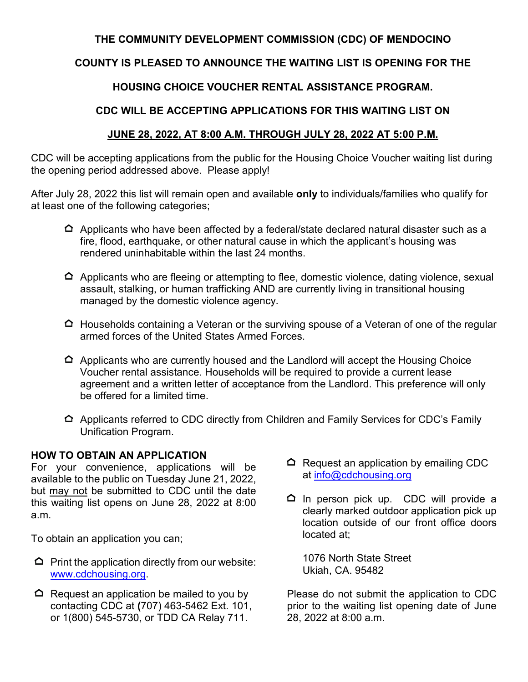## **THE COMMUNITY DEVELOPMENT COMMISSION (CDC) OF MENDOCINO**

## **COUNTY IS PLEASED TO ANNOUNCE THE WAITING LIST IS OPENING FOR THE**

## **HOUSING CHOICE VOUCHER RENTAL ASSISTANCE PROGRAM.**

## **CDC WILL BE ACCEPTING APPLICATIONS FOR THIS WAITING LIST ON**

## **JUNE 28, 2022, AT 8:00 A.M. THROUGH JULY 28, 2022 AT 5:00 P.M.**

CDC will be accepting applications from the public for the Housing Choice Voucher waiting list during the opening period addressed above. Please apply!

After July 28, 2022 this list will remain open and available **only** to individuals/families who qualify for at least one of the following categories;

- $\Delta$  Applicants who have been affected by a federal/state declared natural disaster such as a fire, flood, earthquake, or other natural cause in which the applicant's housing was rendered uninhabitable within the last 24 months.
- $\Delta$  Applicants who are fleeing or attempting to flee, domestic violence, dating violence, sexual assault, stalking, or human trafficking AND are currently living in transitional housing managed by the domestic violence agency.
- $\Delta$  Households containing a Veteran or the surviving spouse of a Veteran of one of the regular armed forces of the United States Armed Forces.
- $\Delta$  Applicants who are currently housed and the Landlord will accept the Housing Choice Voucher rental assistance. Households will be required to provide a current lease agreement and a written letter of acceptance from the Landlord. This preference will only be offered for a limited time.
- $\Delta$  Applicants referred to CDC directly from Children and Family Services for CDC's Family Unification Program.

#### **HOW TO OBTAIN AN APPLICATION**

For your convenience, applications will be available to the public on Tuesday June 21, 2022, but may not be submitted to CDC until the date this waiting list opens on June 28, 2022 at 8:00 a.m.

To obtain an application you can;

- $\Omega$  Print the application directly from our website: [www.cdchousing.org.](http://www.cdchousing.org/)
- $\Omega$  Request an application be mailed to you by contacting CDC at **(**707) 463-5462 Ext. 101, or 1(800) 545-5730, or TDD CA Relay 711.
- $\Omega$  Request an application by emailing CDC at [info@cdchousing.org](mailto:info@cdchousing.org)
- $\Omega$  In person pick up. CDC will provide a clearly marked outdoor application pick up location outside of our front office doors located at;

1076 North State Street Ukiah, CA. 95482

Please do not submit the application to CDC prior to the waiting list opening date of June 28, 2022 at 8:00 a.m.